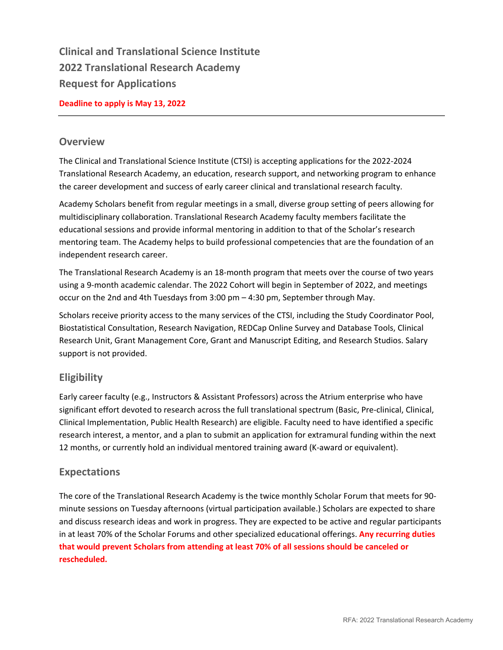**Clinical and Translational Science Institute 2022 Translational Research Academy Request for Applications** 

### **Deadline to apply is May 13, 2022**

### **Overview**

The Clinical and Translational Science Institute (CTSI) is accepting applications for the 2022-2024 Translational Research Academy, an education, research support, and networking program to enhance the career development and success of early career clinical and translational research faculty.

Academy Scholars benefit from regular meetings in a small, diverse group setting of peers allowing for multidisciplinary collaboration. Translational Research Academy faculty members facilitate the educational sessions and provide informal mentoring in addition to that of the Scholar's research mentoring team. The Academy helps to build professional competencies that are the foundation of an independent research career.

The Translational Research Academy is an 18-month program that meets over the course of two years using a 9-month academic calendar. The 2022 Cohort will begin in September of 2022, and meetings occur on the 2nd and 4th Tuesdays from 3:00 pm – 4:30 pm, September through May.

Scholars receive priority access to the many services of the CTSI, including the Study Coordinator Pool, Biostatistical Consultation, Research Navigation, REDCap Online Survey and Database Tools, Clinical Research Unit, Grant Management Core, Grant and Manuscript Editing, and Research Studios. Salary support is not provided.

# **Eligibility**

Early career faculty (e.g., Instructors & Assistant Professors) across the Atrium enterprise who have significant effort devoted to research across the full translational spectrum (Basic, Pre-clinical, Clinical, Clinical Implementation, Public Health Research) are eligible. Faculty need to have identified a specific research interest, a mentor, and a plan to submit an application for extramural funding within the next 12 months, or currently hold an individual mentored training award (K-award or equivalent).

# **Expectations**

The core of the Translational Research Academy is the twice monthly Scholar Forum that meets for 90 minute sessions on Tuesday afternoons (virtual participation available.) Scholars are expected to share and discuss research ideas and work in progress. They are expected to be active and regular participants in at least 70% of the Scholar Forums and other specialized educational offerings. **Any recurring duties that would prevent Scholars from attending at least 70% of all sessions should be canceled or rescheduled.**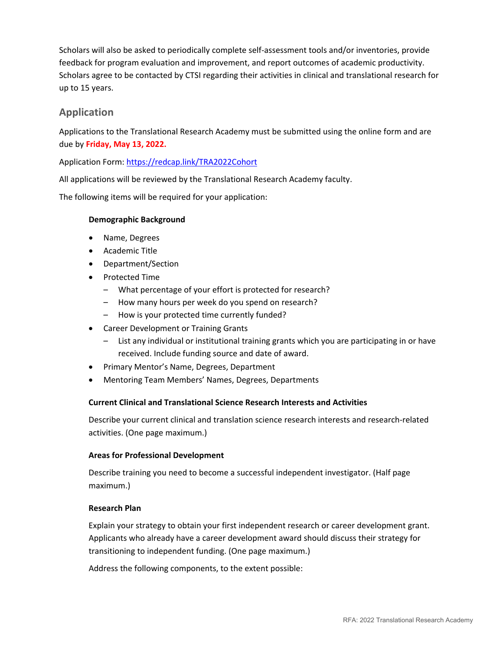Scholars will also be asked to periodically complete self-assessment tools and/or inventories, provide feedback for program evaluation and improvement, and report outcomes of academic productivity. Scholars agree to be contacted by CTSI regarding their activities in clinical and translational research for up to 15 years.

# **Application**

Applications to the Translational Research Academy must be submitted using the online form and are due by **Friday, May 13, 2022.**

Application Form:<https://redcap.link/TRA2022Cohort>

All applications will be reviewed by the Translational Research Academy faculty.

The following items will be required for your application:

### **Demographic Background**

- Name, Degrees
- Academic Title
- Department/Section
- Protected Time
	- What percentage of your effort is protected for research?
	- How many hours per week do you spend on research?
	- How is your protected time currently funded?
- Career Development or Training Grants
	- List any individual or institutional training grants which you are participating in or have received. Include funding source and date of award.
- Primary Mentor's Name, Degrees, Department
- Mentoring Team Members' Names, Degrees, Departments

#### **Current Clinical and Translational Science Research Interests and Activities**

Describe your current clinical and translation science research interests and research-related activities. (One page maximum.)

#### **Areas for Professional Development**

Describe training you need to become a successful independent investigator. (Half page maximum.)

#### **Research Plan**

Explain your strategy to obtain your first independent research or career development grant. Applicants who already have a career development award should discuss their strategy for transitioning to independent funding. (One page maximum.)

Address the following components, to the extent possible: